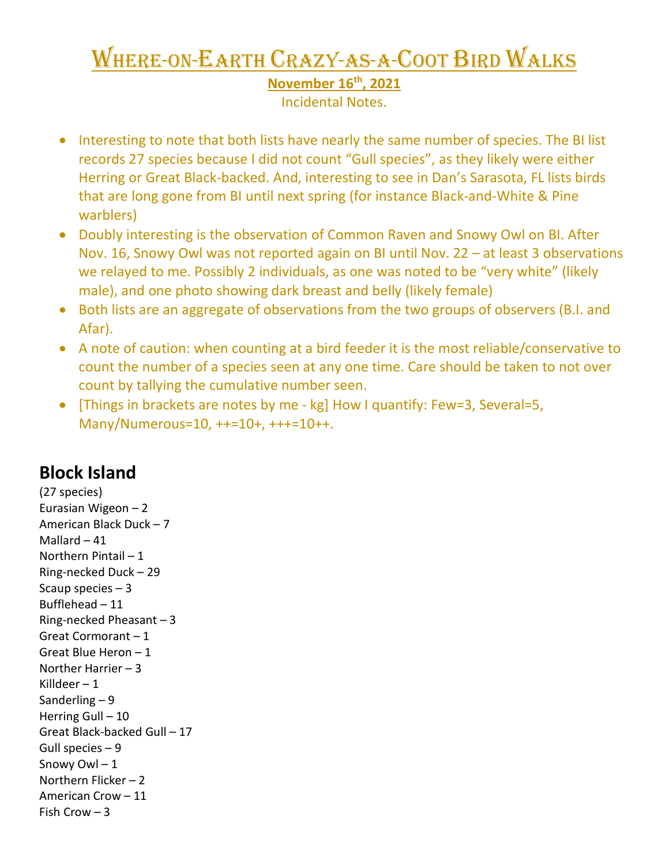## Where-on-Earth Crazy-as-a-Coot Bird Walks

**November 16th, 2021**

Incidental Notes.

- Interesting to note that both lists have nearly the same number of species. The BI list records 27 species because I did not count "Gull species", as they likely were either Herring or Great Black-backed. And, interesting to see in Dan's Sarasota, FL lists birds that are long gone from BI until next spring (for instance Black-and-White & Pine warblers)
- Doubly interesting is the observation of Common Raven and Snowy Owl on BI. After Nov. 16, Snowy Owl was not reported again on BI until Nov. 22 – at least 3 observations we relayed to me. Possibly 2 individuals, as one was noted to be "very white" (likely male), and one photo showing dark breast and belly (likely female)
- Both lists are an aggregate of observations from the two groups of observers (B.I. and Afar).
- A note of caution: when counting at a bird feeder it is the most reliable/conservative to count the number of a species seen at any one time. Care should be taken to not over count by tallying the cumulative number seen.
- [Things in brackets are notes by me kg] How I quantify: Few=3, Several=5, Many/Numerous=10, ++=10+, +++=10++.

## **Block Island**

(27 species) Eurasian Wigeon – 2 American Black Duck – 7 Mallard – 41 Northern Pintail – 1 Ring-necked Duck – 29 Scaup species – 3 Bufflehead – 11 Ring-necked Pheasant – 3 Great Cormorant – 1 Great Blue Heron – 1 Norther Harrier – 3 Killdeer  $-1$ Sanderling – 9 Herring Gull – 10 Great Black-backed Gull – 17 Gull species – 9 Snowy Owl – 1 Northern Flicker – 2 American Crow – 11 Fish Crow – 3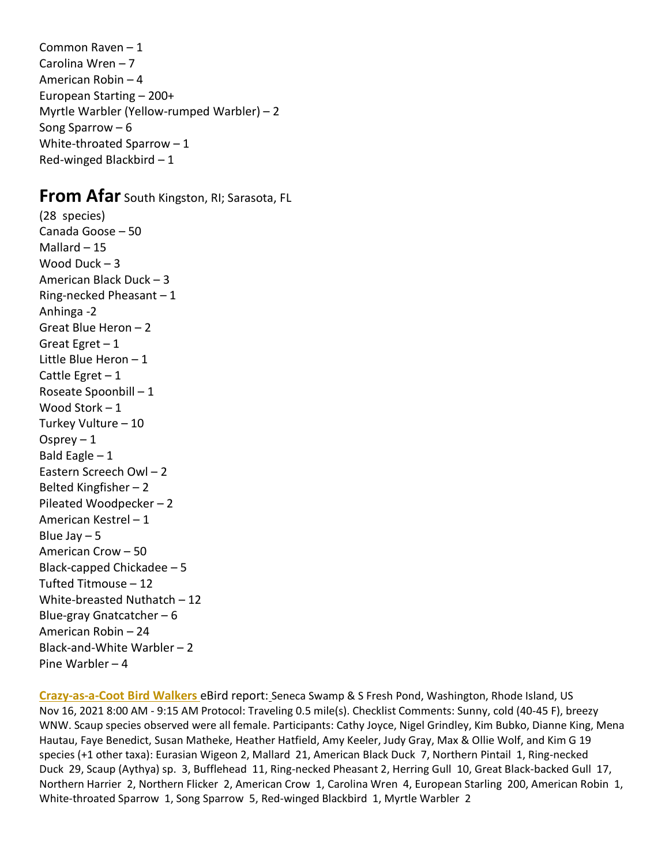Common Raven – 1 Carolina Wren – 7 American Robin – 4 European Starting – 200+ Myrtle Warbler (Yellow-rumped Warbler) – 2 Song Sparrow – 6 White-throated Sparrow – 1 Red-winged Blackbird – 1

## **From Afar** South Kingston, RI; Sarasota, FL

(28 species) Canada Goose – 50 Mallard – 15 Wood Duck – 3 American Black Duck – 3 Ring-necked Pheasant – 1 Anhinga -2 Great Blue Heron – 2 Great Egret – 1 Little Blue Heron – 1 Cattle Egret – 1 Roseate Spoonbill – 1 Wood Stork – 1 Turkey Vulture – 10 Osprey  $-1$ Bald Eagle  $-1$ Eastern Screech Owl – 2 Belted Kingfisher – 2 Pileated Woodpecker – 2 American Kestrel – 1 Blue Jay – 5 American Crow – 50 Black-capped Chickadee – 5 Tufted Titmouse – 12 White-breasted Nuthatch – 12 Blue-gray Gnatcatcher – 6 American Robin – 24 Black-and-White Warbler – 2 Pine Warbler – 4

**Crazy-as-a-Coot Bird Walkers** eBird report: Seneca Swamp & S Fresh Pond, Washington, Rhode Island, US Nov 16, 2021 8:00 AM - 9:15 AM Protocol: Traveling 0.5 mile(s). Checklist Comments: Sunny, cold (40-45 F), breezy WNW. Scaup species observed were all female. Participants: Cathy Joyce, Nigel Grindley, Kim Bubko, Dianne King, Mena Hautau, Faye Benedict, Susan Matheke, Heather Hatfield, Amy Keeler, Judy Gray, Max & Ollie Wolf, and Kim G 19 species (+1 other taxa): Eurasian Wigeon 2, Mallard 21, American Black Duck 7, Northern Pintail 1, Ring-necked Duck 29, Scaup (Aythya) sp. 3, Bufflehead 11, Ring-necked Pheasant 2, Herring Gull 10, Great Black-backed Gull 17, Northern Harrier 2, Northern Flicker 2, American Crow 1, Carolina Wren 4, European Starling 200, American Robin 1, White-throated Sparrow 1, Song Sparrow 5, Red-winged Blackbird 1, Myrtle Warbler 2